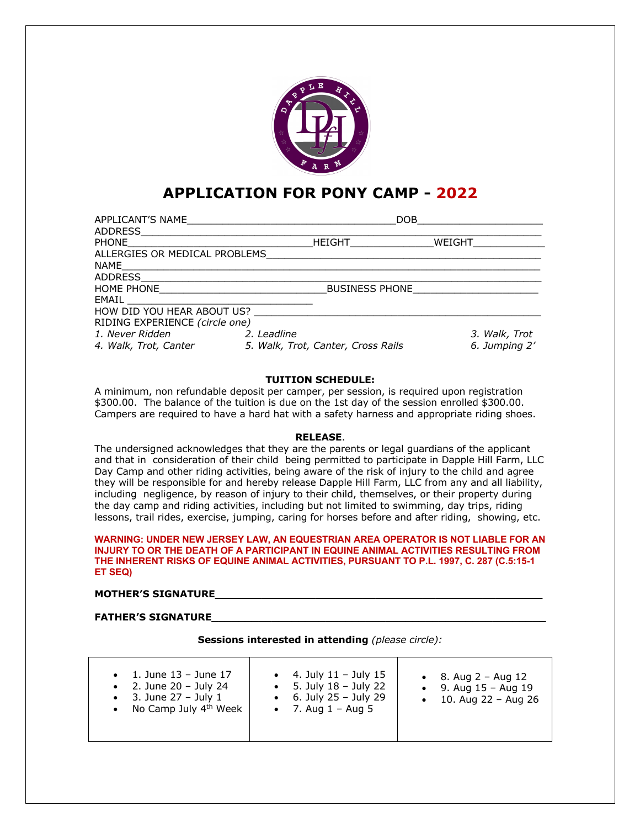

# **APPLICATION FOR PONY CAMP - 2022**

| APPLICANT'S NAME               |             | DOB                                |        |               |
|--------------------------------|-------------|------------------------------------|--------|---------------|
| ADDRESS                        |             |                                    |        |               |
| <b>PHONE</b>                   |             | HEIGHT                             | WEIGHT |               |
| ALLERGIES OR MEDICAL PROBLEMS  |             |                                    |        |               |
| NAME                           |             |                                    |        |               |
| <b>ADDRESS</b>                 |             |                                    |        |               |
| <b>HOME PHONE</b>              |             | <b>BUSINESS PHONE</b>              |        |               |
| EMAIL                          |             |                                    |        |               |
| HOW DID YOU HEAR ABOUT US?     |             |                                    |        |               |
| RIDING EXPERIENCE (circle one) |             |                                    |        |               |
| 1. Never Ridden                | 2. Leadline |                                    |        | 3. Walk, Trot |
| 4. Walk, Trot, Canter          |             | 5. Walk, Trot, Canter, Cross Rails |        | 6. Jumping 2' |

# **TUITION SCHEDULE:**

A minimum, non refundable deposit per camper, per session, is required upon registration \$300.00. The balance of the tuition is due on the 1st day of the session enrolled \$300.00. Campers are required to have a hard hat with a safety harness and appropriate riding shoes.

## **RELEASE**.

The undersigned acknowledges that they are the parents or legal guardians of the applicant and that in consideration of their child being permitted to participate in Dapple Hill Farm, LLC Day Camp and other riding activities, being aware of the risk of injury to the child and agree they will be responsible for and hereby release Dapple Hill Farm, LLC from any and all liability, including negligence, by reason of injury to their child, themselves, or their property during the day camp and riding activities, including but not limited to swimming, day trips, riding lessons, trail rides, exercise, jumping, caring for horses before and after riding, showing, etc.

#### **WARNING: UNDER NEW JERSEY LAW, AN EQUESTRIAN AREA OPERATOR IS NOT LIABLE FOR AN INJURY TO OR THE DEATH OF A PARTICIPANT IN EQUINE ANIMAL ACTIVITIES RESULTING FROM THE INHERENT RISKS OF EQUINE ANIMAL ACTIVITIES, PURSUANT TO P.L. 1997, C. 287 (C.5:15-1 ET SEQ)**

## **MOTHER'S SIGNATURE\_\_\_\_\_\_\_\_\_\_\_\_\_\_\_\_\_\_\_\_\_\_\_\_\_\_\_\_\_\_\_\_\_\_\_\_\_\_\_\_\_\_\_\_\_\_\_\_\_**

# **FATHER'S SIGNATURE\_\_\_\_\_\_\_\_\_\_\_\_\_\_\_\_\_\_\_\_\_\_\_\_\_\_\_\_\_\_\_\_\_\_\_\_\_\_\_\_\_\_\_\_\_\_\_\_\_\_**

**Sessions interested in attending** *(please circle):*

| • 1. June $13 -$ June $17$<br>• 2. June $20 -$ July 24<br>• 3. June $27 -$ July 1<br>• No Camp July $4th$ Week | • 4. July $11 -$ July $15$<br>• 5. July $18 -$ July 22<br>• 6. July $25 -$ July 29<br>• 7. Aug $1 -$ Aug 5 | • 8. Aug $2 -$ Aug $12$<br>• 9. Aug $15 -$ Aug $19$<br>• 10. Aug 22 – Aug 26 |
|----------------------------------------------------------------------------------------------------------------|------------------------------------------------------------------------------------------------------------|------------------------------------------------------------------------------|
|----------------------------------------------------------------------------------------------------------------|------------------------------------------------------------------------------------------------------------|------------------------------------------------------------------------------|